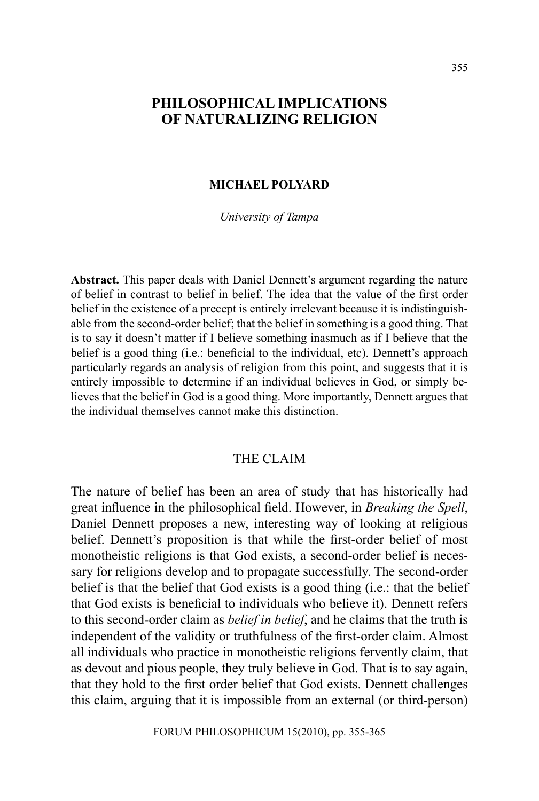# **PHILOSOPHICAL IMPLICATIONS OF NATURALIZING RELIGION**

### **MICHAEL POLYARD**

*University of Tampa*

**Abstract.** This paper deals with Daniel Dennett's argument regarding the nature of belief in contrast to belief in belief. The idea that the value of the first order belief in the existence of a precept is entirely irrelevant because it is indistinguishable from the second-order belief; that the belief in something is a good thing. That is to say it doesn't matter if I believe something inasmuch as if I believe that the belief is a good thing (i.e.: beneficial to the individual, etc). Dennett's approach particularly regards an analysis of religion from this point, and suggests that it is entirely impossible to determine if an individual believes in God, or simply believes that the belief in God is a good thing. More importantly, Dennett argues that the individual themselves cannot make this distinction.

# THE CLAIM

The nature of belief has been an area of study that has historically had great influence in the philosophical field. However, in *Breaking the Spell*, Daniel Dennett proposes a new, interesting way of looking at religious belief. Dennett's proposition is that while the first-order belief of most monotheistic religions is that God exists, a second-order belief is necessary for religions develop and to propagate successfully. The second-order belief is that the belief that God exists is a good thing (i.e.: that the belief that God exists is beneficial to individuals who believe it). Dennett refers to this second-order claim as *belief in belief*, and he claims that the truth is independent of the validity or truthfulness of the first-order claim. Almost all individuals who practice in monotheistic religions fervently claim, that as devout and pious people, they truly believe in God. That is to say again, that they hold to the first order belief that God exists. Dennett challenges this claim, arguing that it is impossible from an external (or third-person)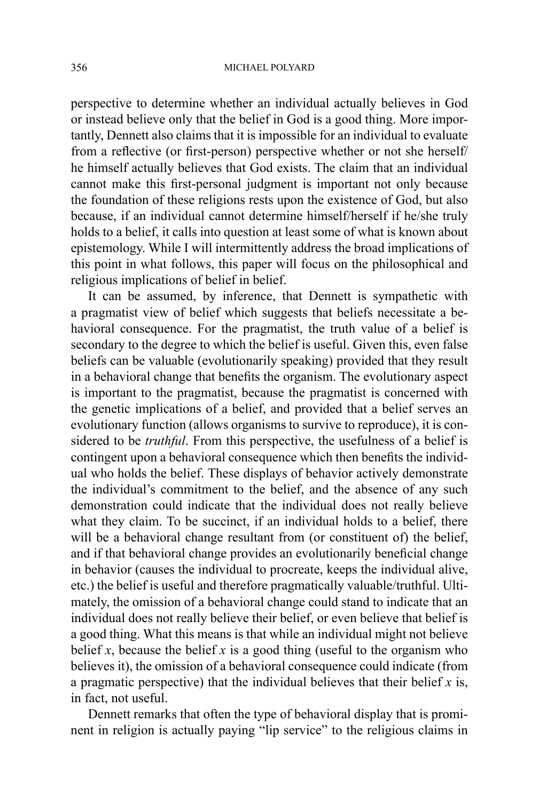perspective to determine whether an individual actually believes in God or instead believe only that the belief in God is a good thing. More importantly, Dennett also claims that it is impossible for an individual to evaluate from a reflective (or first-person) perspective whether or not she herself/ he himself actually believes that God exists. The claim that an individual cannot make this first-personal judgment is important not only because the foundation of these religions rests upon the existence of God, but also because, if an individual cannot determine himself/herself if he/she truly holds to a belief, it calls into question at least some of what is known about epistemology. While I will intermittently address the broad implications of this point in what follows, this paper will focus on the philosophical and religious implications of belief in belief.

It can be assumed, by inference, that Dennett is sympathetic with a pragmatist view of belief which suggests that beliefs necessitate a behavioral consequence. For the pragmatist, the truth value of a belief is secondary to the degree to which the belief is useful. Given this, even false beliefs can be valuable (evolutionarily speaking) provided that they result in a behavioral change that benefits the organism. The evolutionary aspect is important to the pragmatist, because the pragmatist is concerned with the genetic implications of a belief, and provided that a belief serves an evolutionary function (allows organisms to survive to reproduce), it is considered to be *truthful*. From this perspective, the usefulness of a belief is contingent upon a behavioral consequence which then benefits the individual who holds the belief. These displays of behavior actively demonstrate the individual's commitment to the belief, and the absence of any such demonstration could indicate that the individual does not really believe what they claim. To be succinct, if an individual holds to a belief, there will be a behavioral change resultant from (or constituent of) the belief, and if that behavioral change provides an evolutionarily beneficial change in behavior (causes the individual to procreate, keeps the individual alive, etc.) the belief is useful and therefore pragmatically valuable/truthful. Ultimately, the omission of a behavioral change could stand to indicate that an individual does not really believe their belief, or even believe that belief is a good thing. What this means is that while an individual might not believe belief *x*, because the belief *x* is a good thing (useful to the organism who believes it), the omission of a behavioral consequence could indicate (from a pragmatic perspective) that the individual believes that their belief *x* is, in fact, not useful.

Dennett remarks that often the type of behavioral display that is prominent in religion is actually paying "lip service" to the religious claims in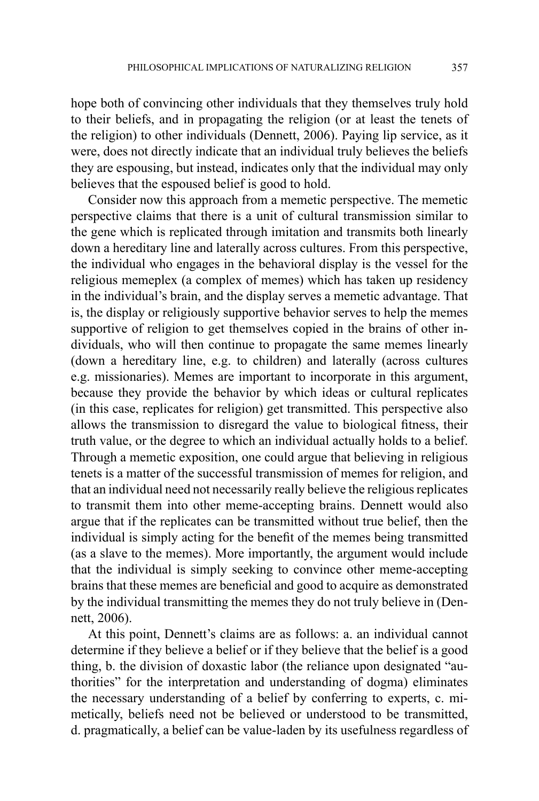hope both of convincing other individuals that they themselves truly hold to their beliefs, and in propagating the religion (or at least the tenets of the religion) to other individuals (Dennett, 2006). Paying lip service, as it were, does not directly indicate that an individual truly believes the beliefs they are espousing, but instead, indicates only that the individual may only believes that the espoused belief is good to hold.

Consider now this approach from a memetic perspective. The memetic perspective claims that there is a unit of cultural transmission similar to the gene which is replicated through imitation and transmits both linearly down a hereditary line and laterally across cultures. From this perspective, the individual who engages in the behavioral display is the vessel for the religious memeplex (a complex of memes) which has taken up residency in the individual's brain, and the display serves a memetic advantage. That is, the display or religiously supportive behavior serves to help the memes supportive of religion to get themselves copied in the brains of other individuals, who will then continue to propagate the same memes linearly (down a hereditary line, e.g. to children) and laterally (across cultures e.g. missionaries). Memes are important to incorporate in this argument, because they provide the behavior by which ideas or cultural replicates (in this case, replicates for religion) get transmitted. This perspective also allows the transmission to disregard the value to biological fitness, their truth value, or the degree to which an individual actually holds to a belief. Through a memetic exposition, one could argue that believing in religious tenets is a matter of the successful transmission of memes for religion, and that an individual need not necessarily really believe the religious replicates to transmit them into other meme-accepting brains. Dennett would also argue that if the replicates can be transmitted without true belief, then the individual is simply acting for the benefit of the memes being transmitted (as a slave to the memes). More importantly, the argument would include that the individual is simply seeking to convince other meme-accepting brains that these memes are beneficial and good to acquire as demonstrated by the individual transmitting the memes they do not truly believe in (Dennett, 2006).

At this point, Dennett's claims are as follows: a. an individual cannot determine if they believe a belief or if they believe that the belief is a good thing, b. the division of doxastic labor (the reliance upon designated "authorities" for the interpretation and understanding of dogma) eliminates the necessary understanding of a belief by conferring to experts, c. mimetically, beliefs need not be believed or understood to be transmitted, d. pragmatically, a belief can be value-laden by its usefulness regardless of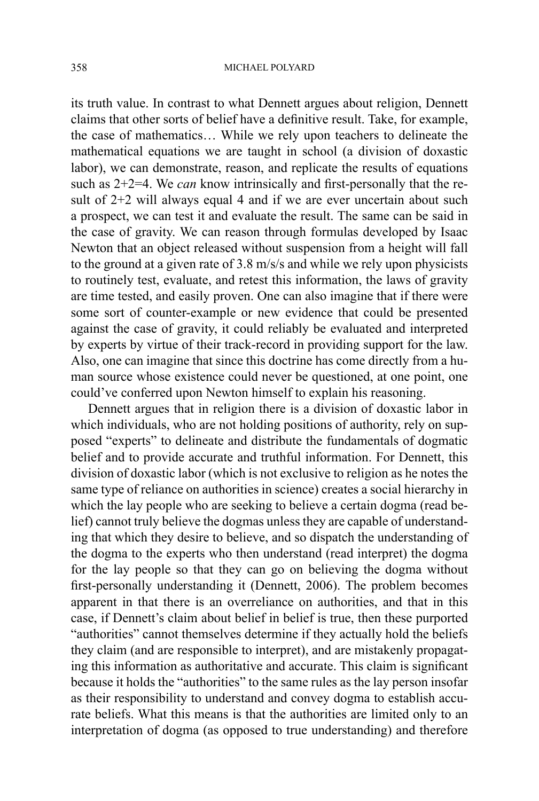its truth value. In contrast to what Dennett argues about religion, Dennett claims that other sorts of belief have a definitive result. Take, for example, the case of mathematics… While we rely upon teachers to delineate the mathematical equations we are taught in school (a division of doxastic labor), we can demonstrate, reason, and replicate the results of equations such as 2+2=4. We *can* know intrinsically and first-personally that the result of  $2+2$  will always equal 4 and if we are ever uncertain about such a prospect, we can test it and evaluate the result. The same can be said in the case of gravity. We can reason through formulas developed by Isaac Newton that an object released without suspension from a height will fall to the ground at a given rate of 3.8 m/s/s and while we rely upon physicists to routinely test, evaluate, and retest this information, the laws of gravity are time tested, and easily proven. One can also imagine that if there were some sort of counter-example or new evidence that could be presented against the case of gravity, it could reliably be evaluated and interpreted by experts by virtue of their track-record in providing support for the law. Also, one can imagine that since this doctrine has come directly from a human source whose existence could never be questioned, at one point, one could've conferred upon Newton himself to explain his reasoning.

Dennett argues that in religion there is a division of doxastic labor in which individuals, who are not holding positions of authority, rely on supposed "experts" to delineate and distribute the fundamentals of dogmatic belief and to provide accurate and truthful information. For Dennett, this division of doxastic labor (which is not exclusive to religion as he notes the same type of reliance on authorities in science) creates a social hierarchy in which the lay people who are seeking to believe a certain dogma (read belief) cannot truly believe the dogmas unless they are capable of understanding that which they desire to believe, and so dispatch the understanding of the dogma to the experts who then understand (read interpret) the dogma for the lay people so that they can go on believing the dogma without first-personally understanding it (Dennett, 2006). The problem becomes apparent in that there is an overreliance on authorities, and that in this case, if Dennett's claim about belief in belief is true, then these purported "authorities" cannot themselves determine if they actually hold the beliefs they claim (and are responsible to interpret), and are mistakenly propagating this information as authoritative and accurate. This claim is significant because it holds the "authorities" to the same rules as the lay person insofar as their responsibility to understand and convey dogma to establish accurate beliefs. What this means is that the authorities are limited only to an interpretation of dogma (as opposed to true understanding) and therefore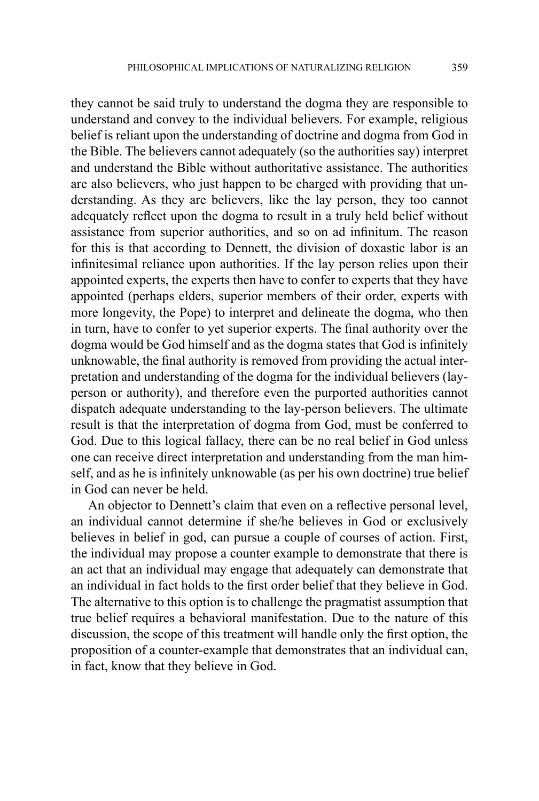they cannot be said truly to understand the dogma they are responsible to understand and convey to the individual believers. For example, religious belief is reliant upon the understanding of doctrine and dogma from God in the Bible. The believers cannot adequately (so the authorities say) interpret and understand the Bible without authoritative assistance. The authorities are also believers, who just happen to be charged with providing that understanding. As they are believers, like the lay person, they too cannot adequately reflect upon the dogma to result in a truly held belief without assistance from superior authorities, and so on ad infinitum. The reason for this is that according to Dennett, the division of doxastic labor is an infinitesimal reliance upon authorities. If the lay person relies upon their appointed experts, the experts then have to confer to experts that they have appointed (perhaps elders, superior members of their order, experts with more longevity, the Pope) to interpret and delineate the dogma, who then in turn, have to confer to yet superior experts. The final authority over the dogma would be God himself and as the dogma states that God is infinitely unknowable, the final authority is removed from providing the actual interpretation and understanding of the dogma for the individual believers (layperson or authority), and therefore even the purported authorities cannot dispatch adequate understanding to the lay-person believers. The ultimate result is that the interpretation of dogma from God, must be conferred to God. Due to this logical fallacy, there can be no real belief in God unless one can receive direct interpretation and understanding from the man himself, and as he is infinitely unknowable (as per his own doctrine) true belief in God can never be held.

An objector to Dennett's claim that even on a reflective personal level, an individual cannot determine if she/he believes in God or exclusively believes in belief in god, can pursue a couple of courses of action. First, the individual may propose a counter example to demonstrate that there is an act that an individual may engage that adequately can demonstrate that an individual in fact holds to the first order belief that they believe in God. The alternative to this option is to challenge the pragmatist assumption that true belief requires a behavioral manifestation. Due to the nature of this discussion, the scope of this treatment will handle only the first option, the proposition of a counter-example that demonstrates that an individual can, in fact, know that they believe in God.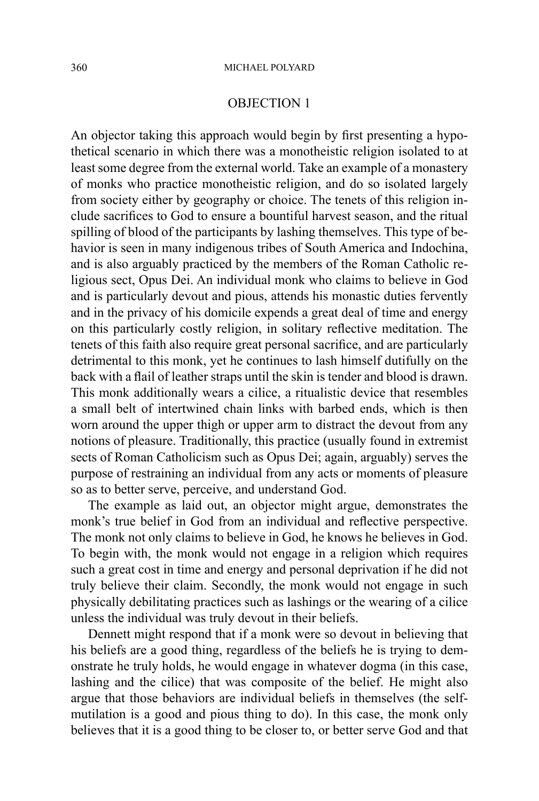### OBJECTION 1

An objector taking this approach would begin by first presenting a hypothetical scenario in which there was a monotheistic religion isolated to at least some degree from the external world. Take an example of a monastery of monks who practice monotheistic religion, and do so isolated largely from society either by geography or choice. The tenets of this religion include sacrifices to God to ensure a bountiful harvest season, and the ritual spilling of blood of the participants by lashing themselves. This type of behavior is seen in many indigenous tribes of South America and Indochina, and is also arguably practiced by the members of the Roman Catholic religious sect, Opus Dei. An individual monk who claims to believe in God and is particularly devout and pious, attends his monastic duties fervently and in the privacy of his domicile expends a great deal of time and energy on this particularly costly religion, in solitary reflective meditation. The tenets of this faith also require great personal sacrifice, and are particularly detrimental to this monk, yet he continues to lash himself dutifully on the back with a flail of leather straps until the skin is tender and blood is drawn. This monk additionally wears a cilice, a ritualistic device that resembles a small belt of intertwined chain links with barbed ends, which is then worn around the upper thigh or upper arm to distract the devout from any notions of pleasure. Traditionally, this practice (usually found in extremist sects of Roman Catholicism such as Opus Dei; again, arguably) serves the purpose of restraining an individual from any acts or moments of pleasure so as to better serve, perceive, and understand God.

The example as laid out, an objector might argue, demonstrates the monk's true belief in God from an individual and reflective perspective. The monk not only claims to believe in God, he knows he believes in God. To begin with, the monk would not engage in a religion which requires such a great cost in time and energy and personal deprivation if he did not truly believe their claim. Secondly, the monk would not engage in such physically debilitating practices such as lashings or the wearing of a cilice unless the individual was truly devout in their beliefs.

Dennett might respond that if a monk were so devout in believing that his beliefs are a good thing, regardless of the beliefs he is trying to demonstrate he truly holds, he would engage in whatever dogma (in this case, lashing and the cilice) that was composite of the belief. He might also argue that those behaviors are individual beliefs in themselves (the selfmutilation is a good and pious thing to do). In this case, the monk only believes that it is a good thing to be closer to, or better serve God and that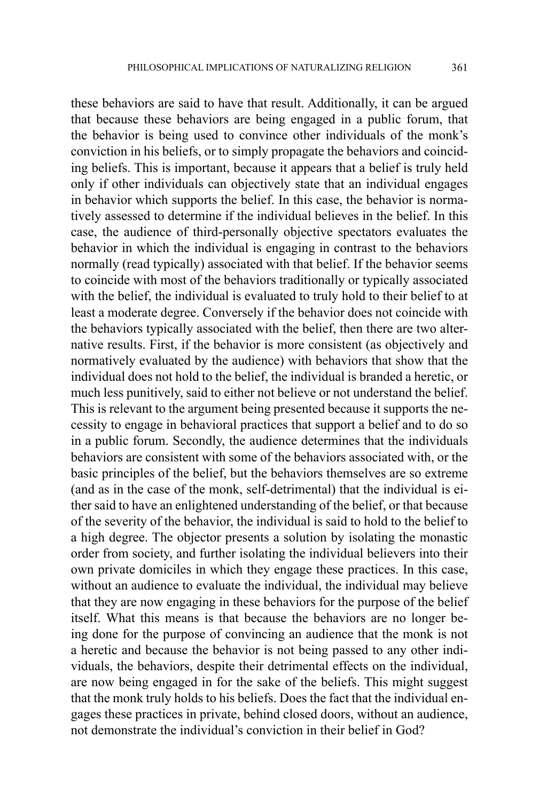these behaviors are said to have that result. Additionally, it can be argued that because these behaviors are being engaged in a public forum, that the behavior is being used to convince other individuals of the monk's conviction in his beliefs, or to simply propagate the behaviors and coinciding beliefs. This is important, because it appears that a belief is truly held only if other individuals can objectively state that an individual engages in behavior which supports the belief. In this case, the behavior is normatively assessed to determine if the individual believes in the belief. In this case, the audience of third-personally objective spectators evaluates the behavior in which the individual is engaging in contrast to the behaviors normally (read typically) associated with that belief. If the behavior seems to coincide with most of the behaviors traditionally or typically associated with the belief, the individual is evaluated to truly hold to their belief to at least a moderate degree. Conversely if the behavior does not coincide with the behaviors typically associated with the belief, then there are two alternative results. First, if the behavior is more consistent (as objectively and normatively evaluated by the audience) with behaviors that show that the individual does not hold to the belief, the individual is branded a heretic, or much less punitively, said to either not believe or not understand the belief. This is relevant to the argument being presented because it supports the necessity to engage in behavioral practices that support a belief and to do so in a public forum. Secondly, the audience determines that the individuals behaviors are consistent with some of the behaviors associated with, or the basic principles of the belief, but the behaviors themselves are so extreme (and as in the case of the monk, self-detrimental) that the individual is either said to have an enlightened understanding of the belief, or that because of the severity of the behavior, the individual is said to hold to the belief to a high degree. The objector presents a solution by isolating the monastic order from society, and further isolating the individual believers into their own private domiciles in which they engage these practices. In this case, without an audience to evaluate the individual, the individual may believe that they are now engaging in these behaviors for the purpose of the belief itself. What this means is that because the behaviors are no longer being done for the purpose of convincing an audience that the monk is not a heretic and because the behavior is not being passed to any other individuals, the behaviors, despite their detrimental effects on the individual, are now being engaged in for the sake of the beliefs. This might suggest that the monk truly holds to his beliefs. Does the fact that the individual engages these practices in private, behind closed doors, without an audience, not demonstrate the individual's conviction in their belief in God?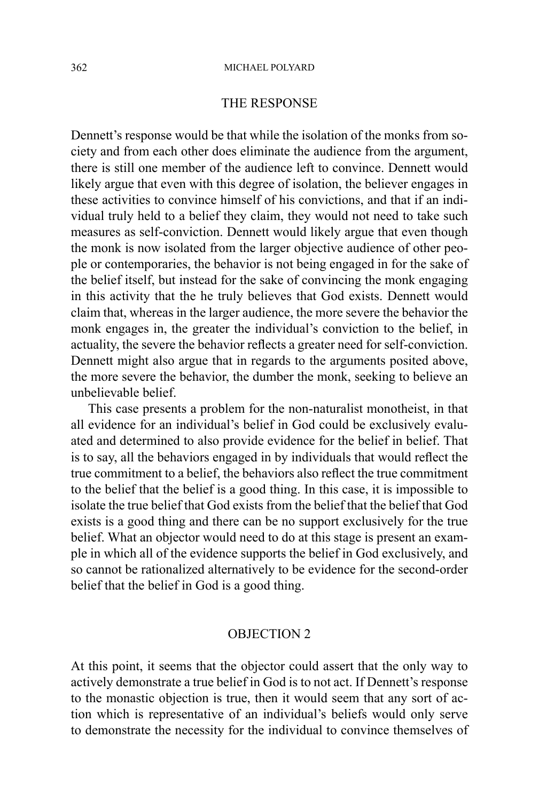#### 362 MICHAEL POLYARD

### THE RESPONSE

Dennett's response would be that while the isolation of the monks from society and from each other does eliminate the audience from the argument, there is still one member of the audience left to convince. Dennett would likely argue that even with this degree of isolation, the believer engages in these activities to convince himself of his convictions, and that if an individual truly held to a belief they claim, they would not need to take such measures as self-conviction. Dennett would likely argue that even though the monk is now isolated from the larger objective audience of other people or contemporaries, the behavior is not being engaged in for the sake of the belief itself, but instead for the sake of convincing the monk engaging in this activity that the he truly believes that God exists. Dennett would claim that, whereas in the larger audience, the more severe the behavior the monk engages in, the greater the individual's conviction to the belief, in actuality, the severe the behavior reflects a greater need for self-conviction. Dennett might also argue that in regards to the arguments posited above, the more severe the behavior, the dumber the monk, seeking to believe an unbelievable belief.

This case presents a problem for the non-naturalist monotheist, in that all evidence for an individual's belief in God could be exclusively evaluated and determined to also provide evidence for the belief in belief. That is to say, all the behaviors engaged in by individuals that would reflect the true commitment to a belief, the behaviors also reflect the true commitment to the belief that the belief is a good thing. In this case, it is impossible to isolate the true belief that God exists from the belief that the belief that God exists is a good thing and there can be no support exclusively for the true belief. What an objector would need to do at this stage is present an example in which all of the evidence supports the belief in God exclusively, and so cannot be rationalized alternatively to be evidence for the second-order belief that the belief in God is a good thing.

## OBJECTION 2

At this point, it seems that the objector could assert that the only way to actively demonstrate a true belief in God is to not act. If Dennett's response to the monastic objection is true, then it would seem that any sort of action which is representative of an individual's beliefs would only serve to demonstrate the necessity for the individual to convince themselves of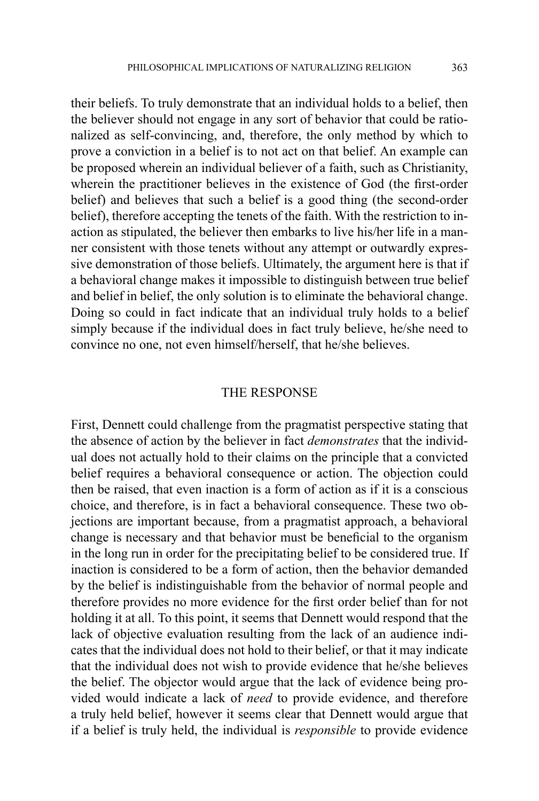their beliefs. To truly demonstrate that an individual holds to a belief, then the believer should not engage in any sort of behavior that could be rationalized as self-convincing, and, therefore, the only method by which to prove a conviction in a belief is to not act on that belief. An example can be proposed wherein an individual believer of a faith, such as Christianity, wherein the practitioner believes in the existence of God (the first-order belief) and believes that such a belief is a good thing (the second-order belief), therefore accepting the tenets of the faith. With the restriction to inaction as stipulated, the believer then embarks to live his/her life in a manner consistent with those tenets without any attempt or outwardly expressive demonstration of those beliefs. Ultimately, the argument here is that if a behavioral change makes it impossible to distinguish between true belief and belief in belief, the only solution is to eliminate the behavioral change. Doing so could in fact indicate that an individual truly holds to a belief simply because if the individual does in fact truly believe, he/she need to convince no one, not even himself/herself, that he/she believes.

### THE RESPONSE

First, Dennett could challenge from the pragmatist perspective stating that the absence of action by the believer in fact *demonstrates* that the individual does not actually hold to their claims on the principle that a convicted belief requires a behavioral consequence or action. The objection could then be raised, that even inaction is a form of action as if it is a conscious choice, and therefore, is in fact a behavioral consequence. These two objections are important because, from a pragmatist approach, a behavioral change is necessary and that behavior must be beneficial to the organism in the long run in order for the precipitating belief to be considered true. If inaction is considered to be a form of action, then the behavior demanded by the belief is indistinguishable from the behavior of normal people and therefore provides no more evidence for the first order belief than for not holding it at all. To this point, it seems that Dennett would respond that the lack of objective evaluation resulting from the lack of an audience indicates that the individual does not hold to their belief, or that it may indicate that the individual does not wish to provide evidence that he/she believes the belief. The objector would argue that the lack of evidence being provided would indicate a lack of *need* to provide evidence, and therefore a truly held belief, however it seems clear that Dennett would argue that if a belief is truly held, the individual is *responsible* to provide evidence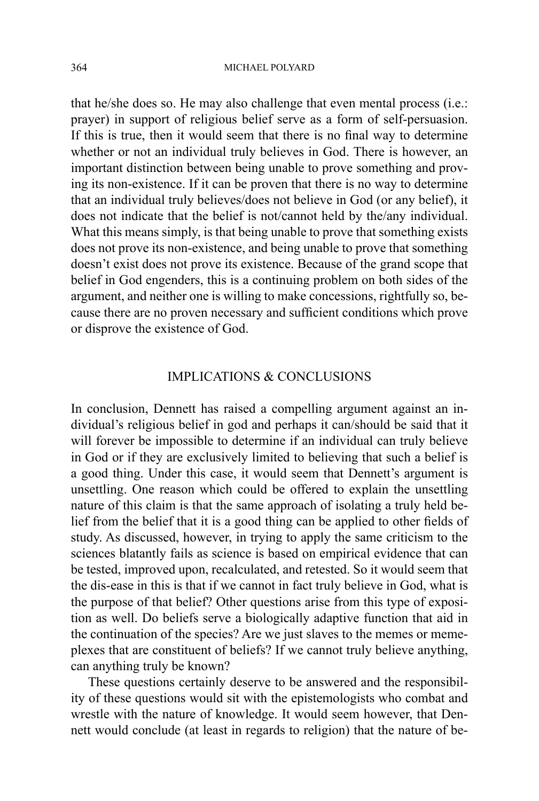that he/she does so. He may also challenge that even mental process (i.e.: prayer) in support of religious belief serve as a form of self-persuasion. If this is true, then it would seem that there is no final way to determine whether or not an individual truly believes in God. There is however, an important distinction between being unable to prove something and proving its non-existence. If it can be proven that there is no way to determine that an individual truly believes/does not believe in God (or any belief), it does not indicate that the belief is not/cannot held by the/any individual. What this means simply, is that being unable to prove that something exists does not prove its non-existence, and being unable to prove that something doesn't exist does not prove its existence. Because of the grand scope that belief in God engenders, this is a continuing problem on both sides of the argument, and neither one is willing to make concessions, rightfully so, because there are no proven necessary and sufficient conditions which prove or disprove the existence of God.

# IMPLICATIONS & CONCLUSIONS

In conclusion, Dennett has raised a compelling argument against an individual's religious belief in god and perhaps it can/should be said that it will forever be impossible to determine if an individual can truly believe in God or if they are exclusively limited to believing that such a belief is a good thing. Under this case, it would seem that Dennett's argument is unsettling. One reason which could be offered to explain the unsettling nature of this claim is that the same approach of isolating a truly held belief from the belief that it is a good thing can be applied to other fields of study. As discussed, however, in trying to apply the same criticism to the sciences blatantly fails as science is based on empirical evidence that can be tested, improved upon, recalculated, and retested. So it would seem that the dis-ease in this is that if we cannot in fact truly believe in God, what is the purpose of that belief? Other questions arise from this type of exposition as well. Do beliefs serve a biologically adaptive function that aid in the continuation of the species? Are we just slaves to the memes or memeplexes that are constituent of beliefs? If we cannot truly believe anything, can anything truly be known?

These questions certainly deserve to be answered and the responsibility of these questions would sit with the epistemologists who combat and wrestle with the nature of knowledge. It would seem however, that Dennett would conclude (at least in regards to religion) that the nature of be-